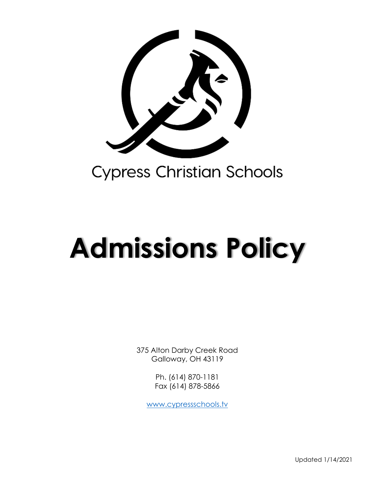

# **Admissions Policy**

375 Alton Darby Creek Road Galloway, OH 43119

> Ph. (614) 870-1181 Fax (614) 878-5866

[www.cypressschools.tv](http://www.cypressschools.tv/)

Updated 1/14/2021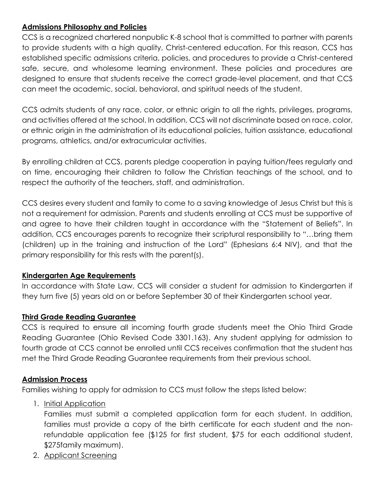## **Admissions Philosophy and Policies**

CCS is a recognized chartered nonpublic K-8 school that is committed to partner with parents to provide students with a high quality, Christ-centered education. For this reason, CCS has established specific admissions criteria, policies, and procedures to provide a Christ-centered safe, secure, and wholesome learning environment. These policies and procedures are designed to ensure that students receive the correct grade-level placement, and that CCS can meet the academic, social, behavioral, and spiritual needs of the student.

CCS admits students of any race, color, or ethnic origin to all the rights, privileges, programs, and activities offered at the school. In addition, CCS will not discriminate based on race, color, or ethnic origin in the administration of its educational policies, tuition assistance, educational programs, athletics, and/or extracurricular activities.

By enrolling children at CCS, parents pledge cooperation in paying tuition/fees regularly and on time, encouraging their children to follow the Christian teachings of the school, and to respect the authority of the teachers, staff, and administration.

CCS desires every student and family to come to a saving knowledge of Jesus Christ but this is not a requirement for admission. Parents and students enrolling at CCS must be supportive of and agree to have their children taught in accordance with the "Statement of Beliefs". In addition, CCS encourages parents to recognize their scriptural responsibility to "…bring them (children) up in the training and instruction of the Lord" (Ephesians 6:4 NIV), and that the primary responsibility for this rests with the parent(s).

#### **Kindergarten Age Requirements**

In accordance with State Law, CCS will consider a student for admission to Kindergarten if they turn five (5) years old on or before September 30 of their Kindergarten school year.

#### **Third Grade Reading Guarantee**

CCS is required to ensure all incoming fourth grade students meet the Ohio Third Grade Reading Guarantee (Ohio Revised Code 3301.163). Any student applying for admission to fourth grade at CCS cannot be enrolled until CCS receives confirmation that the student has met the Third Grade Reading Guarantee requirements from their previous school.

## **Admission Process**

Families wishing to apply for admission to CCS must follow the steps listed below:

## 1. Initial Application

Families must submit a completed application form for each student. In addition, families must provide a copy of the birth certificate for each student and the nonrefundable application fee (\$125 for first student, \$75 for each additional student, \$275family maximum).

2. Applicant Screening